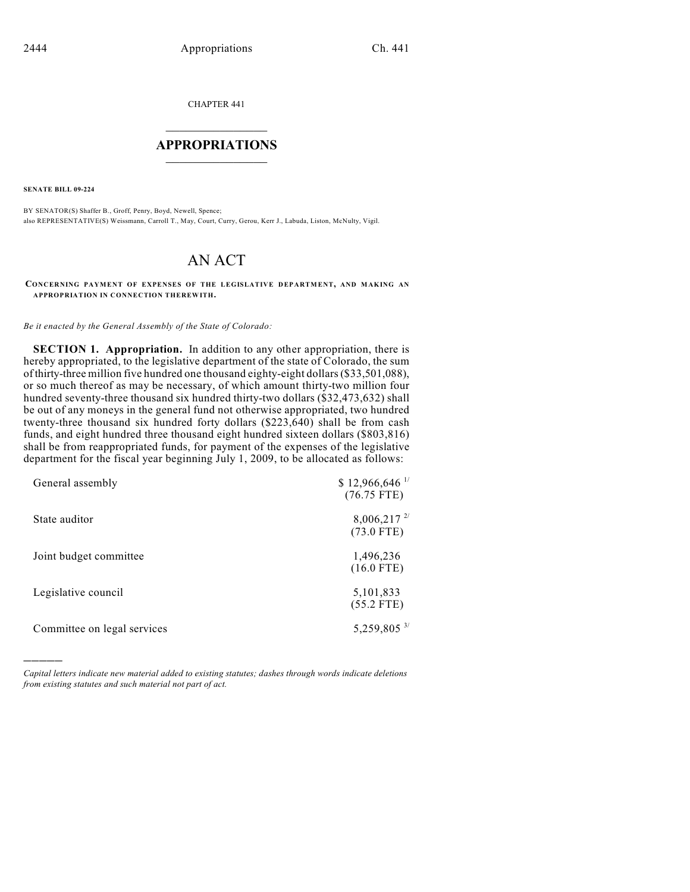CHAPTER 441

## $\overline{\phantom{a}}$  . The set of the set of the set of the set of the set of the set of the set of the set of the set of the set of the set of the set of the set of the set of the set of the set of the set of the set of the set o **APPROPRIATIONS**  $\_$   $\_$   $\_$   $\_$   $\_$   $\_$   $\_$   $\_$

**SENATE BILL 09-224**

)))))

BY SENATOR(S) Shaffer B., Groff, Penry, Boyd, Newell, Spence; also REPRESENTATIVE(S) Weissmann, Carroll T., May, Court, Curry, Gerou, Kerr J., Labuda, Liston, McNulty, Vigil.

## AN ACT

**CONCERNING PAYMENT OF EXPENSES OF THE LEGISLATIVE DEPARTMENT, AND MAKING AN APPROPRIATION IN CONNECTION THEREWITH.**

*Be it enacted by the General Assembly of the State of Colorado:*

**SECTION 1. Appropriation.** In addition to any other appropriation, there is hereby appropriated, to the legislative department of the state of Colorado, the sum of thirty-three million five hundred one thousand eighty-eight dollars (\$33,501,088), or so much thereof as may be necessary, of which amount thirty-two million four hundred seventy-three thousand six hundred thirty-two dollars (\$32,473,632) shall be out of any moneys in the general fund not otherwise appropriated, two hundred twenty-three thousand six hundred forty dollars  $(\$223,640)$  shall be from cash funds, and eight hundred three thousand eight hundred sixteen dollars (\$803,816) shall be from reappropriated funds, for payment of the expenses of the legislative department for the fiscal year beginning July 1, 2009, to be allocated as follows:

| General assembly            | $$12,966,646$ <sup>1/</sup><br>$(76.75$ FTE) |
|-----------------------------|----------------------------------------------|
| State auditor               | $8,006,217^{27}$<br>$(73.0$ FTE)             |
| Joint budget committee      | 1,496,236<br>$(16.0$ FTE)                    |
| Legislative council         | 5,101,833<br>$(55.2$ FTE)                    |
| Committee on legal services | $5,259,805^{3/}$                             |

*Capital letters indicate new material added to existing statutes; dashes through words indicate deletions from existing statutes and such material not part of act.*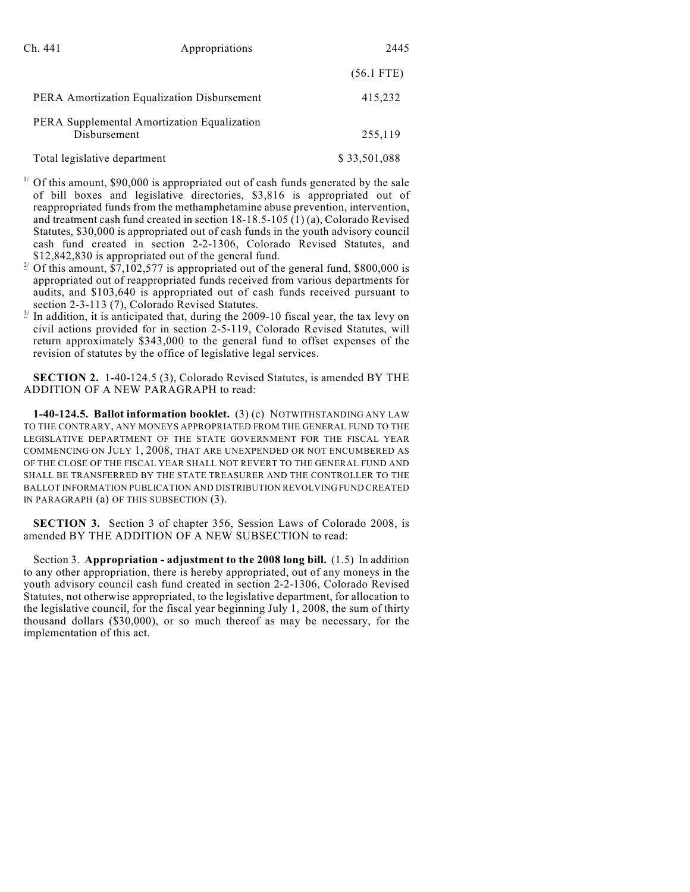| Appropriations<br>Ch. 441                                   |                                             | 2445         |
|-------------------------------------------------------------|---------------------------------------------|--------------|
|                                                             |                                             | $(56.1$ FTE) |
|                                                             | PERA Amortization Equalization Disbursement | 415,232      |
| PERA Supplemental Amortization Equalization<br>Disbursement |                                             | 255,119      |
| Total legislative department                                |                                             | \$33,501,088 |

- $1/$  Of this amount, \$90,000 is appropriated out of cash funds generated by the sale of bill boxes and legislative directories, \$3,816 is appropriated out of reappropriated funds from the methamphetamine abuse prevention, intervention, and treatment cash fund created in section 18-18.5-105 (1) (a), Colorado Revised Statutes, \$30,000 is appropriated out of cash funds in the youth advisory council cash fund created in section 2-2-1306, Colorado Revised Statutes, and \$12,842,830 is appropriated out of the general fund.
- <sup>2</sup> Of this amount, \$7,102,577 is appropriated out of the general fund, \$800,000 is appropriated out of reappropriated funds received from various departments for audits, and \$103,640 is appropriated out of cash funds received pursuant to section 2-3-113 (7), Colorado Revised Statutes.
- $\frac{3}{2}$  In addition, it is anticipated that, during the 2009-10 fiscal year, the tax levy on civil actions provided for in section 2-5-119, Colorado Revised Statutes, will return approximately \$343,000 to the general fund to offset expenses of the revision of statutes by the office of legislative legal services.

**SECTION 2.** 1-40-124.5 (3), Colorado Revised Statutes, is amended BY THE ADDITION OF A NEW PARAGRAPH to read:

**1-40-124.5. Ballot information booklet.** (3) (c) NOTWITHSTANDING ANY LAW TO THE CONTRARY, ANY MONEYS APPROPRIATED FROM THE GENERAL FUND TO THE LEGISLATIVE DEPARTMENT OF THE STATE GOVERNMENT FOR THE FISCAL YEAR COMMENCING ON JULY 1, 2008, THAT ARE UNEXPENDED OR NOT ENCUMBERED AS OF THE CLOSE OF THE FISCAL YEAR SHALL NOT REVERT TO THE GENERAL FUND AND SHALL BE TRANSFERRED BY THE STATE TREASURER AND THE CONTROLLER TO THE BALLOT INFORMATION PUBLICATION AND DISTRIBUTION REVOLVING FUND CREATED IN PARAGRAPH (a) OF THIS SUBSECTION (3).

**SECTION 3.** Section 3 of chapter 356, Session Laws of Colorado 2008, is amended BY THE ADDITION OF A NEW SUBSECTION to read:

Section 3. **Appropriation - adjustment to the 2008 long bill.** (1.5) In addition to any other appropriation, there is hereby appropriated, out of any moneys in the youth advisory council cash fund created in section 2-2-1306, Colorado Revised Statutes, not otherwise appropriated, to the legislative department, for allocation to the legislative council, for the fiscal year beginning July 1, 2008, the sum of thirty thousand dollars (\$30,000), or so much thereof as may be necessary, for the implementation of this act.